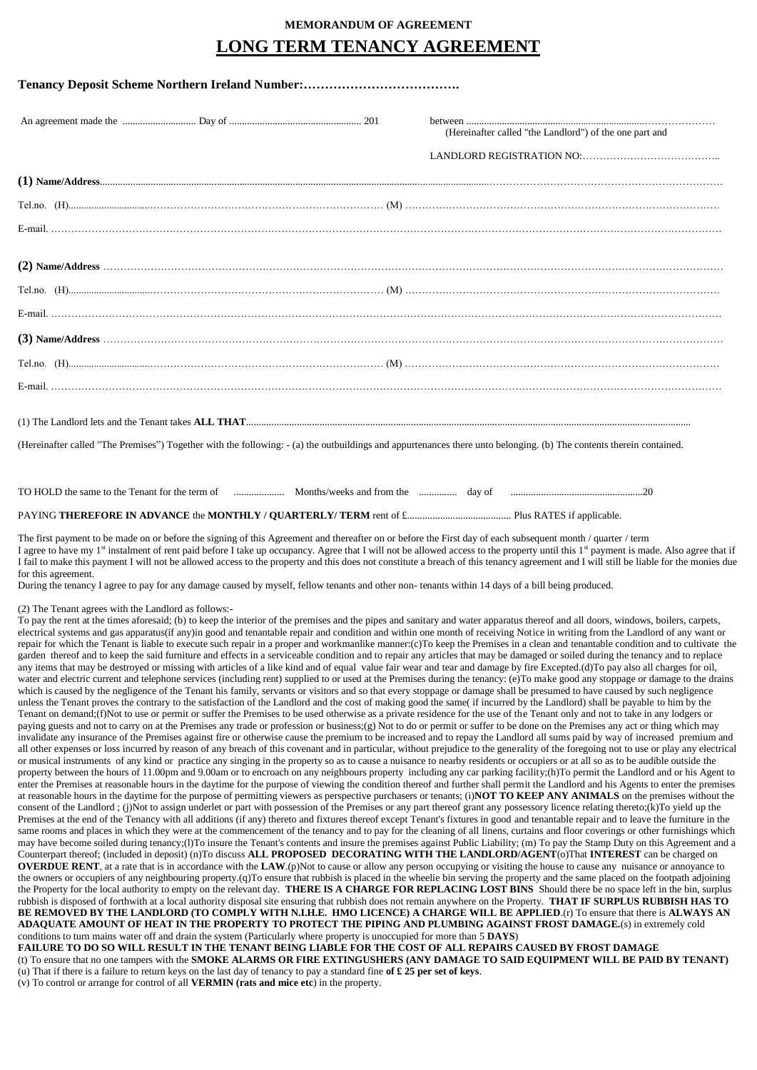# **MEMORANDUM OF AGREEMENT** ONG TERM TENANCY AGREEMENT

### 

|  | (Hereinafter called "the Landlord") of the one part and                                                                                                                                                                                                                                                                                                                                                                                                                                                                                                                                                                                                                                                                                                                                                                                                                                                                                           |
|--|---------------------------------------------------------------------------------------------------------------------------------------------------------------------------------------------------------------------------------------------------------------------------------------------------------------------------------------------------------------------------------------------------------------------------------------------------------------------------------------------------------------------------------------------------------------------------------------------------------------------------------------------------------------------------------------------------------------------------------------------------------------------------------------------------------------------------------------------------------------------------------------------------------------------------------------------------|
|  |                                                                                                                                                                                                                                                                                                                                                                                                                                                                                                                                                                                                                                                                                                                                                                                                                                                                                                                                                   |
|  | $\textbf{(1) Name/Address.}\footnote{The text for the following text for the text to be a different value, and the text to be a different value, and the text to be a different value, and the text to be a different value, and the text to be a different value, and the text to be a different value, and the text to be a different value, and the text to be a different value, and the text to be a different value, and the text to be a different value, and the text to be a different value, and the text to be a different value, and the text to be a different value, and the text to be a different value, and the text to be a different value, and the text to be a different value, and the text to be a different value, and the text to be a different value, and the text to be a different value, and the text to be a different value, and the text to be a different value, and the text to be a different value, and the$ |
|  |                                                                                                                                                                                                                                                                                                                                                                                                                                                                                                                                                                                                                                                                                                                                                                                                                                                                                                                                                   |
|  |                                                                                                                                                                                                                                                                                                                                                                                                                                                                                                                                                                                                                                                                                                                                                                                                                                                                                                                                                   |
|  |                                                                                                                                                                                                                                                                                                                                                                                                                                                                                                                                                                                                                                                                                                                                                                                                                                                                                                                                                   |
|  |                                                                                                                                                                                                                                                                                                                                                                                                                                                                                                                                                                                                                                                                                                                                                                                                                                                                                                                                                   |
|  |                                                                                                                                                                                                                                                                                                                                                                                                                                                                                                                                                                                                                                                                                                                                                                                                                                                                                                                                                   |
|  |                                                                                                                                                                                                                                                                                                                                                                                                                                                                                                                                                                                                                                                                                                                                                                                                                                                                                                                                                   |
|  |                                                                                                                                                                                                                                                                                                                                                                                                                                                                                                                                                                                                                                                                                                                                                                                                                                                                                                                                                   |
|  |                                                                                                                                                                                                                                                                                                                                                                                                                                                                                                                                                                                                                                                                                                                                                                                                                                                                                                                                                   |
|  | (1) The Landlord lets and the Tenant takes ALL THAT                                                                                                                                                                                                                                                                                                                                                                                                                                                                                                                                                                                                                                                                                                                                                                                                                                                                                               |

(Hereinafter called "The Premises") Together with the following: - (a) the outbuildings and appurtenances there unto belonging. (b) The contents therein contained.

| TO HC<br>same to<br>term<br>, the<br>≅ ±enant for … | Months/week<br>and<br>'om<br><b>T</b> L | day of |  |
|-----------------------------------------------------|-----------------------------------------|--------|--|
|                                                     |                                         |        |  |

The first payment to be made on or before the signing of this Agreement and thereafter on or before the First day of each subsequent month / quarter / term I agree to have my 1<sup>st</sup> instalment of rent paid before I take up occupancy. Agree that I will not be allowed access to the property until this 1<sup>st</sup> payment is made. Also agree that if I fail to make this payment I will not be allowed access to the property and this does not constitute a breach of this tenancy agreement and I will still be liable for the monies due for this agreement.

During the tenancy I agree to pay for any damage caused by myself, fellow tenants and other non-tenants within 14 days of a bill being produced.

### (2) The Tenant agrees with the Landlord as follows:-

To pay the rent at the times aforesaid; (b) to keep the interior of the premises and the pipes and sanitary and water apparatus thereof and all doors, windows, boilers, carpets, electrical systems and gas apparatus(if any)in good and tenantable repair and condition and within one month of receiving Notice in writing from the Landlord of any want or repair for which the Tenant is liable to execute such repair in a proper and workmanlike manner:(c)To keep the Premises in a clean and tenantable condition and to cultivate the garden thereof and to keep the said furniture and effects in a serviceable condition and to repair any articles that may be damaged or soiled during the tenancy and to replace any items that may be destroyed or missing with articles of a like kind and of equal value fair wear and tear and damage by fire Excepted.(d)To pay also all charges for oil, water and electric current and telephone services (including rent) supplied to or used at the Premises during the tenancy: (e)To make good any stoppage or damage to the drains which is caused by the negligence of the Tenant his family, servants or visitors and so that every stoppage or damage shall be presumed to have caused by such negligence unless the Tenant proves the contrary to the satisfaction of the Landlord and the cost of making good the same( if incurred by the Landlord) shall be payable to him by the Tenant on demand; (f)Not to use or permit or suffer the Premises to be used otherwise as a private residence for the use of the Tenant only and not to take in any lodgers or paying guests and not to carry on at the Premises any trade or profession or business;(g) Not to do or permit or suffer to be done on the Premises any act or thing which may invalidate any insurance of the Premises against fire or otherwise cause the premium to be increased and to repay the Landlord all sums paid by way of increased premium and all other expenses or loss incurred by reason of any breach of this covenant and in particular, without prejudice to the generality of the foregoing not to use or play any electrical or musical instruments of any kind or practice any singing in the property so as to cause a nuisance to nearby residents or occupiers or at all so as to be audible outside the property between the hours of 11.00pm and 9.00am or to encroach on any neighbours property including any car parking facility;(h) To permit the Landlord and or his Agent to enter the Premises at reasonable hours in the daytime for the purpose of viewing the condition thereof and further shall permit the Landlord and his Agents to enter the premises at reasonable hours in the daytime for the purpose of permitting viewers as perspective purchasers or tenants; (i) NOT TO KEEP ANY ANIMALS on the premises without the consent of the Landlord; (j)Not to assign underlet or part with possession of the Premises or any part thereof grant any possessory licence relating thereto;(k)To yield up the Premises at the end of the Tenancy with all additions (if any) thereto and fixtures thereof except Tenant's fixtures in good and tenantable repair and to leave the furniture in the same rooms and places in which they were at the commencement of the tenancy and to pay for the cleaning of all linens, curtains and floor coverings or other furnishings which may have become soiled during tenancy;(I)To insure the Tenant's contents and insure the premises against Public Liability; (m) To pay the Stamp Duty on this Agreement and a Counterpart thereof; (included in deposit) (n)To discuss ALL PROPOSED DECORATING WITH THE LANDLORD/AGENT(o)That INTEREST can be charged on **OVERDUE RENT**, at a rate that is in accordance with the LAW.(p)Not to cause or allow any person occupying or visiting the house to cause any nuisance or annoyance to the owners or occupiers of any neighbouring property.(q)To ensure that rubbish is placed in the wheelie bin serving the property and the same placed on the footpath adjoining the Property for the local authority to empty on the relevant day. THERE IS A CHARGE FOR REPLACING LOST BINS Should there be no space left in the bin, surplus rubbish is disposed of forthwith at a local authority disposal site ensuring that rubbish does not remain anywhere on the Property. THAT IF SURPLUS RUBBISH HAS TO BE REMOVED BY THE LANDLORD (TO COMPLY WITH N.I.H.E. HMO LICENCE) A CHARGE WILL BE APPLIED.(r) To ensure that there is ALWAYS AN ADAQUATE AMOUNT OF HEAT IN THE PROPERTY TO PROTECT THE PIPING AND PLUMBING AGAINST FROST DAMAGE.(s) in extremely cold conditions to turn mains water off and drain the system (Particularly where property is unoccupied for more than 5 DAYS) FAILURE TO DO SO WILL RESULT IN THE TENANT BEING LIABLE FOR THE COST OF ALL REPAIRS CAUSED BY FROST DAMAGE

(t) To ensure that no one tampers with the SMOKE ALARMS OR FIRE EXTINGUSHERS (ANY DAMAGE TO SAID EQUIPMENT WILL BE PAID BY TENANT) (u) That if there is a failure to return keys on the last day of tenancy to pay a standard fine of  $\pounds$  25 per set of keys.

 $(v)$  To control or arrange for control of all **VERMIN** (rats and mice etc) in the property.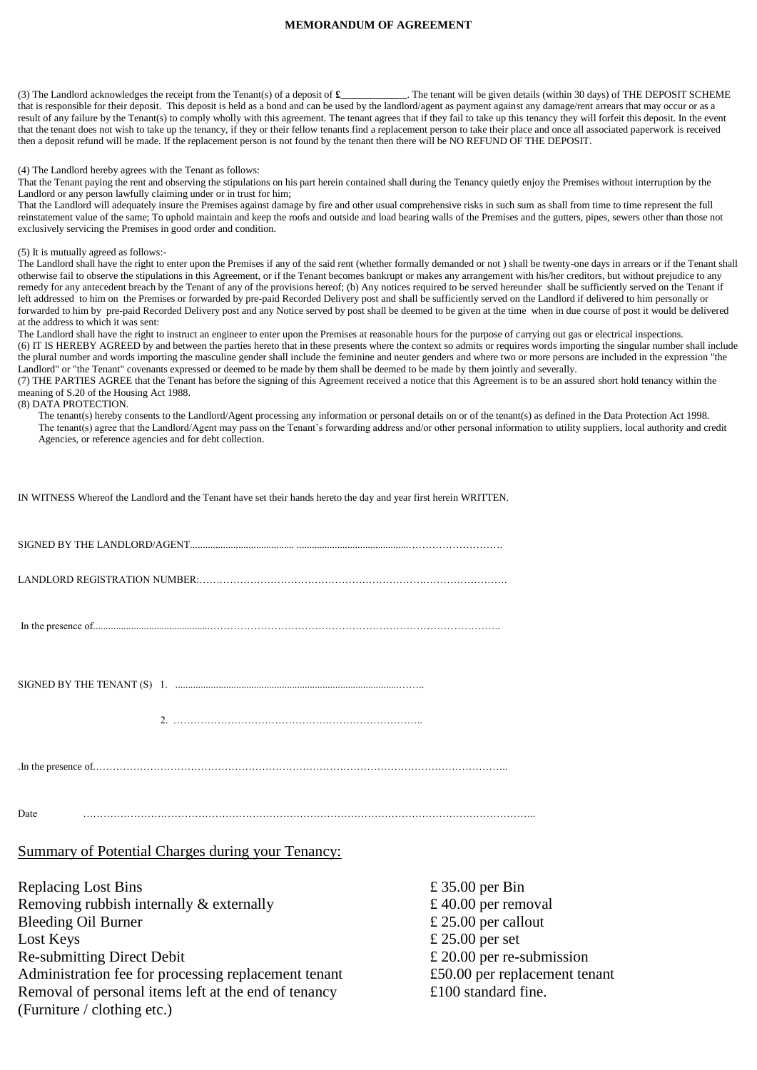### **MEMORANDUM OF AGREEMENT**

(3) The Landlord acknowledges the receipt from the Tenant(s) of a deposit of **£\_\_\_\_\_\_\_\_\_\_\_\_\_**. The tenant will be given details (within 30 days) of THE DEPOSIT SCHEME that is responsible for their deposit. This deposit is held as a bond and can be used by the landlord/agent as payment against any damage/rent arrears that may occur or as a result of any failure by the Tenant(s) to comply wholly with this agreement. The tenant agrees that if they fail to take up this tenancy they will forfeit this deposit. In the event that the tenant does not wish to take up the tenancy, if they or their fellow tenants find a replacement person to take their place and once all associated paperwork is received then a deposit refund will be made. If the replacement person is not found by the tenant then there will be NO REFUND OF THE DEPOSIT.

(4) The Landlord hereby agrees with the Tenant as follows:

That the Tenant paying the rent and observing the stipulations on his part herein contained shall during the Tenancy quietly enjoy the Premises without interruption by the Landlord or any person lawfully claiming under or in trust for him;

That the Landlord will adequately insure the Premises against damage by fire and other usual comprehensive risks in such sum as shall from time to time represent the full reinstatement value of the same; To uphold maintain and keep the roofs and outside and load bearing walls of the Premises and the gutters, pipes, sewers other than those not exclusively servicing the Premises in good order and condition.

#### (5) It is mutually agreed as follows:-

The Landlord shall have the right to enter upon the Premises if any of the said rent (whether formally demanded or not ) shall be twenty-one days in arrears or if the Tenant shall otherwise fail to observe the stipulations in this Agreement, or if the Tenant becomes bankrupt or makes any arrangement with his/her creditors, but without prejudice to any remedy for any antecedent breach by the Tenant of any of the provisions hereof; (b) Any notices required to be served hereunder shall be sufficiently served on the Tenant if left addressed to him on the Premises or forwarded by pre-paid Recorded Delivery post and shall be sufficiently served on the Landlord if delivered to him personally or forwarded to him by pre-paid Recorded Delivery post and any Notice served by post shall be deemed to be given at the time when in due course of post it would be delivered at the address to which it was sent:

The Landlord shall have the right to instruct an engineer to enter upon the Premises at reasonable hours for the purpose of carrying out gas or electrical inspections. (6) IT IS HEREBY AGREED by and between the parties hereto that in these presents where the context so admits or requires words importing the singular number shall include the plural number and words importing the masculine gender shall include the feminine and neuter genders and where two or more persons are included in the expression "the Landlord" or "the Tenant" covenants expressed or deemed to be made by them shall be deemed to be made by them jointly and severally.

(7) THE PARTIES AGREE that the Tenant has before the signing of this Agreement received a notice that this Agreement is to be an assured short hold tenancy within the meaning of S.20 of the Housing Act 1988.

(8) DATA PROTECTION.

 The tenant(s) hereby consents to the Landlord/Agent processing any information or personal details on or of the tenant(s) as defined in the Data Protection Act 1998. The tenant(s) agree that the Landlord/Agent may pass on the Tenant's forwarding address and/or other personal information to utility suppliers, local authority and credit Agencies, or reference agencies and for debt collection.

IN WITNESS Whereof the Landlord and the Tenant have set their hands hereto the day and year first herein WRITTEN.

Date ……………………………………………………………………………………………………………………..

## Summary of Potential Charges during your Tenancy:

Replacing Lost Bins **Example 2.5.00** per Bin Removing rubbish internally  $&$  externally  $&$  40.00 per removal Bleeding Oil Burner **E** 25.00 per callout Lost Keys  $\pounds$  25.00 per set Re-submitting Direct Debit  $\pounds 20.00$  per re-submission Administration fee for processing replacement tenant £50.00 per replacement tenant Removal of personal items left at the end of tenancy  $£100$  standard fine. (Furniture / clothing etc.)